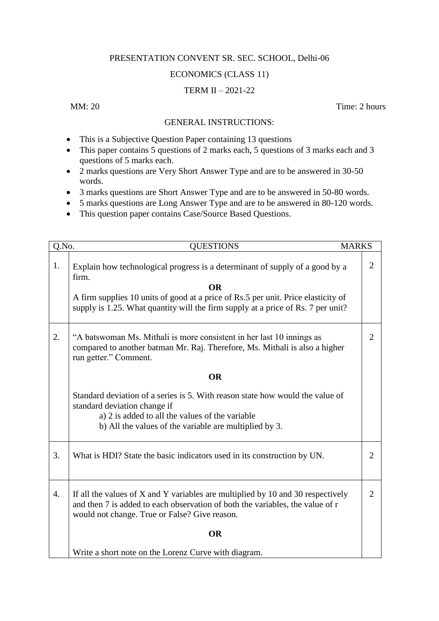## PRESENTATION CONVENT SR. SEC. SCHOOL, Delhi-06

## ECONOMICS (CLASS 11)

## TERM II – 2021-22

MM: 20 Time: 2 hours

## GENERAL INSTRUCTIONS:

- This is a Subjective Question Paper containing 13 questions
- This paper contains 5 questions of 2 marks each, 5 questions of 3 marks each and 3 questions of 5 marks each.
- 2 marks questions are Very Short Answer Type and are to be answered in 30-50 words.
- 3 marks questions are Short Answer Type and are to be answered in 50-80 words.
- 5 marks questions are Long Answer Type and are to be answered in 80-120 words.
- This question paper contains Case/Source Based Questions.

| Q.No. | <b>QUESTIONS</b>                                                                                                                                                                                                                                                            | <b>MARKS</b>   |  |  |  |  |  |  |
|-------|-----------------------------------------------------------------------------------------------------------------------------------------------------------------------------------------------------------------------------------------------------------------------------|----------------|--|--|--|--|--|--|
| 1.    | Explain how technological progress is a determinant of supply of a good by a<br>firm.<br><b>OR</b><br>A firm supplies 10 units of good at a price of Rs.5 per unit. Price elasticity of<br>supply is 1.25. What quantity will the firm supply at a price of Rs. 7 per unit? | 2              |  |  |  |  |  |  |
| 2.    | "A batswoman Ms. Mithali is more consistent in her last 10 innings as<br>compared to another batman Mr. Raj. Therefore, Ms. Mithali is also a higher<br>run getter." Comment.                                                                                               | $\overline{2}$ |  |  |  |  |  |  |
|       | <b>OR</b>                                                                                                                                                                                                                                                                   |                |  |  |  |  |  |  |
|       | Standard deviation of a series is 5. With reason state how would the value of<br>standard deviation change if<br>a) 2 is added to all the values of the variable<br>b) All the values of the variable are multiplied by 3.                                                  |                |  |  |  |  |  |  |
| 3.    | What is HDI? State the basic indicators used in its construction by UN.                                                                                                                                                                                                     | 2              |  |  |  |  |  |  |
| 4.    | If all the values of X and Y variables are multiplied by 10 and 30 respectively<br>and then 7 is added to each observation of both the variables, the value of r<br>would not change. True or False? Give reason.                                                           | $\overline{2}$ |  |  |  |  |  |  |
|       | <b>OR</b>                                                                                                                                                                                                                                                                   |                |  |  |  |  |  |  |
|       | Write a short note on the Lorenz Curve with diagram.                                                                                                                                                                                                                        |                |  |  |  |  |  |  |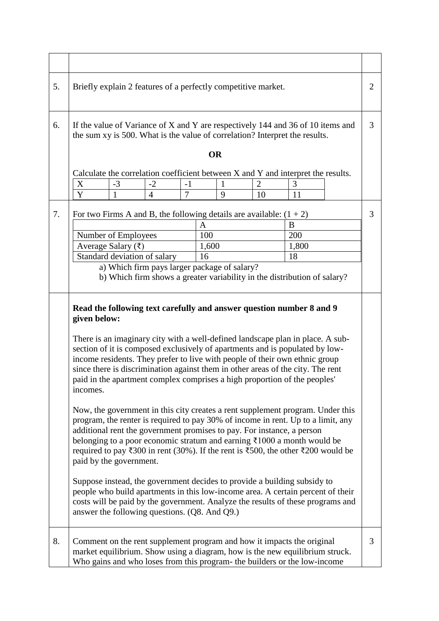| 5. | Briefly explain 2 features of a perfectly competitive market.                                                                                                                                                                                                                                                                                                                                                                                                                                                                                                                                                                                                                                                                                                                                                                                                                                                                                                                                                                                                                                                                                                                                                                                                             |              |                                                                       |                |       |  | $\overline{2}$ |                                                                                  |  |   |
|----|---------------------------------------------------------------------------------------------------------------------------------------------------------------------------------------------------------------------------------------------------------------------------------------------------------------------------------------------------------------------------------------------------------------------------------------------------------------------------------------------------------------------------------------------------------------------------------------------------------------------------------------------------------------------------------------------------------------------------------------------------------------------------------------------------------------------------------------------------------------------------------------------------------------------------------------------------------------------------------------------------------------------------------------------------------------------------------------------------------------------------------------------------------------------------------------------------------------------------------------------------------------------------|--------------|-----------------------------------------------------------------------|----------------|-------|--|----------------|----------------------------------------------------------------------------------|--|---|
| 6. | If the value of Variance of X and Y are respectively 144 and 36 of 10 items and<br>the sum xy is 500. What is the value of correlation? Interpret the results.                                                                                                                                                                                                                                                                                                                                                                                                                                                                                                                                                                                                                                                                                                                                                                                                                                                                                                                                                                                                                                                                                                            |              |                                                                       |                |       |  | 3              |                                                                                  |  |   |
|    | <b>OR</b>                                                                                                                                                                                                                                                                                                                                                                                                                                                                                                                                                                                                                                                                                                                                                                                                                                                                                                                                                                                                                                                                                                                                                                                                                                                                 |              |                                                                       |                |       |  |                |                                                                                  |  |   |
|    |                                                                                                                                                                                                                                                                                                                                                                                                                                                                                                                                                                                                                                                                                                                                                                                                                                                                                                                                                                                                                                                                                                                                                                                                                                                                           |              |                                                                       |                |       |  |                | Calculate the correlation coefficient between X and Y and interpret the results. |  |   |
|    | X                                                                                                                                                                                                                                                                                                                                                                                                                                                                                                                                                                                                                                                                                                                                                                                                                                                                                                                                                                                                                                                                                                                                                                                                                                                                         | $-3$         | $-2$                                                                  | $-1$           | 1     |  | $\overline{2}$ | 3                                                                                |  |   |
|    | $\overline{Y}$                                                                                                                                                                                                                                                                                                                                                                                                                                                                                                                                                                                                                                                                                                                                                                                                                                                                                                                                                                                                                                                                                                                                                                                                                                                            | $\mathbf{1}$ | $\overline{4}$                                                        | $\overline{7}$ | 9     |  | 10             | 11                                                                               |  |   |
| 7. |                                                                                                                                                                                                                                                                                                                                                                                                                                                                                                                                                                                                                                                                                                                                                                                                                                                                                                                                                                                                                                                                                                                                                                                                                                                                           |              | For two Firms A and B, the following details are available: $(1 + 2)$ |                |       |  |                |                                                                                  |  | 3 |
|    |                                                                                                                                                                                                                                                                                                                                                                                                                                                                                                                                                                                                                                                                                                                                                                                                                                                                                                                                                                                                                                                                                                                                                                                                                                                                           |              |                                                                       |                | A     |  |                | B                                                                                |  |   |
|    | Number of Employees                                                                                                                                                                                                                                                                                                                                                                                                                                                                                                                                                                                                                                                                                                                                                                                                                                                                                                                                                                                                                                                                                                                                                                                                                                                       |              |                                                                       |                | 100   |  |                | 200                                                                              |  |   |
|    | Average Salary (₹)                                                                                                                                                                                                                                                                                                                                                                                                                                                                                                                                                                                                                                                                                                                                                                                                                                                                                                                                                                                                                                                                                                                                                                                                                                                        |              |                                                                       |                | 1,600 |  |                | 1,800                                                                            |  |   |
|    |                                                                                                                                                                                                                                                                                                                                                                                                                                                                                                                                                                                                                                                                                                                                                                                                                                                                                                                                                                                                                                                                                                                                                                                                                                                                           |              | Standard deviation of salary                                          |                | 16    |  |                | 18                                                                               |  |   |
|    | a) Which firm pays larger package of salary?<br>b) Which firm shows a greater variability in the distribution of salary?                                                                                                                                                                                                                                                                                                                                                                                                                                                                                                                                                                                                                                                                                                                                                                                                                                                                                                                                                                                                                                                                                                                                                  |              |                                                                       |                |       |  |                |                                                                                  |  |   |
|    | Read the following text carefully and answer question number 8 and 9<br>given below:<br>There is an imaginary city with a well-defined landscape plan in place. A sub-<br>section of it is composed exclusively of apartments and is populated by low-<br>income residents. They prefer to live with people of their own ethnic group<br>since there is discrimination against them in other areas of the city. The rent<br>paid in the apartment complex comprises a high proportion of the peoples'<br>incomes.<br>Now, the government in this city creates a rent supplement program. Under this<br>program, the renter is required to pay 30% of income in rent. Up to a limit, any<br>additional rent the government promises to pay. For instance, a person<br>belonging to a poor economic stratum and earning $\bar{\xi}$ 1000 a month would be<br>required to pay ₹300 in rent (30%). If the rent is ₹500, the other ₹200 would be<br>paid by the government.<br>Suppose instead, the government decides to provide a building subsidy to<br>people who build apartments in this low-income area. A certain percent of their<br>costs will be paid by the government. Analyze the results of these programs and<br>answer the following questions. (Q8. And Q9.) |              |                                                                       |                |       |  |                |                                                                                  |  |   |
| 8. | Comment on the rent supplement program and how it impacts the original<br>market equilibrium. Show using a diagram, how is the new equilibrium struck.<br>Who gains and who loses from this program- the builders or the low-income                                                                                                                                                                                                                                                                                                                                                                                                                                                                                                                                                                                                                                                                                                                                                                                                                                                                                                                                                                                                                                       |              |                                                                       |                |       |  | 3              |                                                                                  |  |   |